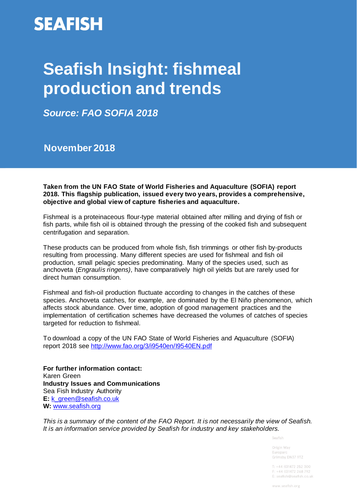# **SEAFISH**

# **Seafish Insight: fishmeal production and trends**

*Source: FAO SOFIA 2018*

**November 2018**

**Taken from the UN FAO State of World Fisheries and Aquaculture (SOFIA) report 2018. This flagship publication, issued every two years, provides a comprehensive, objective and global view of capture fisheries and aquaculture.** 

Fishmeal is a proteinaceous flour-type material obtained after milling and drying of fish or fish parts, while fish oil is obtained through the pressing of the cooked fish and subsequent centrifugation and separation.

These products can be produced from whole fish, fish trimmings or other fish by-products resulting from processing. Many different species are used for fishmeal and fish oil production, small pelagic species predominating. Many of the species used, such as anchoveta (*Engraulis ringens)*, have comparatively high oil yields but are rarely used for direct human consumption.

Fishmeal and fish-oil production fluctuate according to changes in the catches of these species. Anchoveta catches, for example, are dominated by the El Niño phenomenon, which affects stock abundance. Over time, adoption of good management practices and the implementation of certification schemes have decreased the volumes of catches of species targeted for reduction to fishmeal.

To download a copy of the UN FAO State of World Fisheries and Aquaculture (SOFIA) report 2018 see<http://www.fao.org/3/i9540en/I9540EN.pdf>

**For further information contact:** Karen Green **Industry Issues and Communications** Sea Fish Industry Authority **E:** [k\\_green@seafish.co.uk](mailto:k_green@seafish.co.uk) **W:** [www.seafish.org](http://www.seafish.org/)

*This is a summary of the content of the FAO Report. It is not necessarily the view of Seafish. It is an information service provided by Seafish for industry and key stakeholders.* 

Seafish

Origin Way Europard Grimsby DN37 9TZ

 $T: +44(0)1472252300$  $F: +44(0)1472268792$ E: seafish@seafish.co.uk

www.seafish.org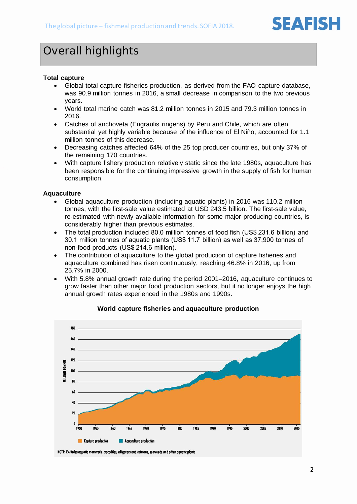

## Overall highlights

#### **Total capture**

- Global total capture fisheries production, as derived from the FAO capture database, was 90.9 million tonnes in 2016, a small decrease in comparison to the two previous years.
- World total marine catch was 81.2 million tonnes in 2015 and 79.3 million tonnes in 2016.
- Catches of anchoveta (Engraulis ringens) by Peru and Chile, which are often substantial yet highly variable because of the influence of El Niño, accounted for 1.1 million tonnes of this decrease.
- Decreasing catches affected 64% of the 25 top producer countries, but only 37% of the remaining 170 countries.
- With capture fishery production relatively static since the late 1980s, aquaculture has been responsible for the continuing impressive growth in the supply of fish for human consumption.

#### **Aquaculture**

- Global aquaculture production (including aquatic plants) in 2016 was 110.2 million tonnes, with the first-sale value estimated at USD 243.5 billion. The first-sale value, re-estimated with newly available information for some major producing countries, is considerably higher than previous estimates.
- The total production included 80.0 million tonnes of food fish (US\$ 231.6 billion) and 30.1 million tonnes of aquatic plants (US\$ 11.7 billion) as well as 37,900 tonnes of non-food products (US\$ 214.6 million).
- The contribution of aquaculture to the global production of capture fisheries and aquaculture combined has risen continuously, reaching 46.8% in 2016, up from 25.7% in 2000.
- With 5.8% annual growth rate during the period 2001–2016, aquaculture continues to grow faster than other major food production sectors, but it no longer enjoys the high annual growth rates experienced in the 1980s and 1990s.



#### **World capture fisheries and aquaculture production**

NOTE: Excludes aguatic mammals, crocodiles, alligators and caimans, seaweeds and other aguatic plants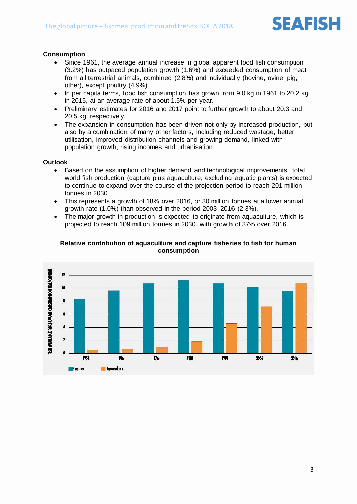

#### **Consumption**

- Since 1961, the average annual increase in global apparent food fish consumption (3.2%) has outpaced population growth (1.6%) and exceeded consumption of meat from all terrestrial animals, combined (2.8%) and individually (bovine, ovine, pig, other), except poultry (4.9%).
- In per capita terms, food fish consumption has grown from 9.0 kg in 1961 to 20.2 kg in 2015, at an average rate of about 1.5% per year.
- Preliminary estimates for 2016 and 2017 point to further growth to about 20.3 and 20.5 kg, respectively.
- The expansion in consumption has been driven not only by increased production, but also by a combination of many other factors, including reduced wastage, better utilisation, improved distribution channels and growing demand, linked with population growth, rising incomes and urbanisation.

#### **Outlook**

- Based on the assumption of higher demand and technological improvements, total world fish production (capture plus aquaculture, excluding aquatic plants) is expected to continue to expand over the course of the projection period to reach 201 million tonnes in 2030.
- This represents a growth of 18% over 2016, or 30 million tonnes at a lower annual growth rate (1.0%) than observed in the period 2003–2016 (2.3%).
- The major growth in production is expected to originate from aquaculture, which is projected to reach 109 million tonnes in 2030, with growth of 37% over 2016.



#### **Relative contribution of aquaculture and capture fisheries to fish for human consumption**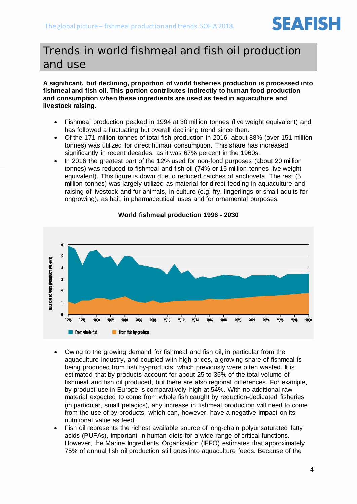## Trends in world fishmeal and fish oil production and use

#### **A significant, but declining, proportion of world fisheries production is processed into fishmeal and fish oil. This portion contributes indirectly to human food production and consumption when these ingredients are used as feed in aquaculture and livestock raising.**

- Fishmeal production peaked in 1994 at 30 million tonnes (live weight equivalent) and has followed a fluctuating but overall declining trend since then.
- Of the 171 million tonnes of total fish production in 2016, about 88% (over 151 million tonnes) was utilized for direct human consumption. This share has increased significantly in recent decades, as it was 67% percent in the 1960s.
- In 2016 the greatest part of the 12% used for non-food purposes (about 20 million tonnes) was reduced to fishmeal and fish oil (74% or 15 million tonnes live weight equivalent). This figure is down due to reduced catches of anchoveta. The rest (5 million tonnes) was largely utilized as material for direct feeding in aquaculture and raising of livestock and fur animals, in culture (e.g. fry, fingerlings or small adults for ongrowing), as bait, in pharmaceutical uses and for ornamental purposes.



#### **World fishmeal production 1996 - 2030**

- Owing to the growing demand for fishmeal and fish oil, in particular from the aquaculture industry, and coupled with high prices, a growing share of fishmeal is being produced from fish by-products, which previously were often wasted. It is estimated that by-products account for about 25 to 35% of the total volume of fishmeal and fish oil produced, but there are also regional differences. For example, by-product use in Europe is comparatively high at 54%. With no additional raw material expected to come from whole fish caught by reduction-dedicated fisheries (in particular, small pelagics), any increase in fishmeal production will need to come from the use of by-products, which can, however, have a negative impact on its nutritional value as feed.
- Fish oil represents the richest available source of long-chain polyunsaturated fatty acids (PUFAs), important in human diets for a wide range of critical functions. However, the Marine Ingredients Organisation (IFFO) estimates that approximately 75% of annual fish oil production still goes into aquaculture feeds. Because of the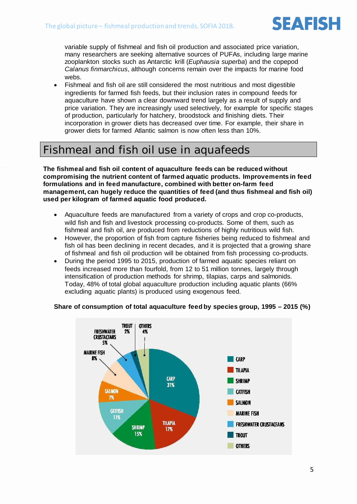

variable supply of fishmeal and fish oil production and associated price variation, many researchers are seeking alternative sources of PUFAs, including large marine zooplankton stocks such as Antarctic krill (*Euphausia superba*) and the copepod *Calanus finmarchicus*, although concerns remain over the impacts for marine food webs.

• Fishmeal and fish oil are still considered the most nutritious and most digestible ingredients for farmed fish feeds, but their inclusion rates in compound feeds for aquaculture have shown a clear downward trend largely as a result of supply and price variation. They are increasingly used selectively, for example for specific stages of production, particularly for hatchery, broodstock and finishing diets. Their incorporation in grower diets has decreased over time. For example, their share in grower diets for farmed Atlantic salmon is now often less than 10%.

### Fishmeal and fish oil use in aquafeeds

**The fishmeal and fish oil content of aquaculture feeds can be reduced without compromising the nutrient content of farmed aquatic products. Improvements in feed formulations and in feed manufacture, combined with better on-farm feed management, can hugely reduce the quantities of feed (and thus fishmeal and fish oil) used per kilogram of farmed aquatic food produced.** 

- Aquaculture feeds are manufactured from a variety of crops and crop co-products, wild fish and fish and livestock processing co-products. Some of them, such as fishmeal and fish oil, are produced from reductions of highly nutritious wild fish.
- However, the proportion of fish from capture fisheries being reduced to fishmeal and fish oil has been declining in recent decades, and it is projected that a growing share of fishmeal and fish oil production will be obtained from fish processing co-products.
- During the period 1995 to 2015, production of farmed aquatic species reliant on feeds increased more than fourfold, from 12 to 51 million tonnes, largely through intensification of production methods for shrimp, tilapias, carps and salmonids. Today, 48% of total global aquaculture production including aquatic plants (66% excluding aquatic plants) is produced using exogenous feed.

#### **Share of consumption of total aquaculture feed by species group, 1995 – 2015 (%)**